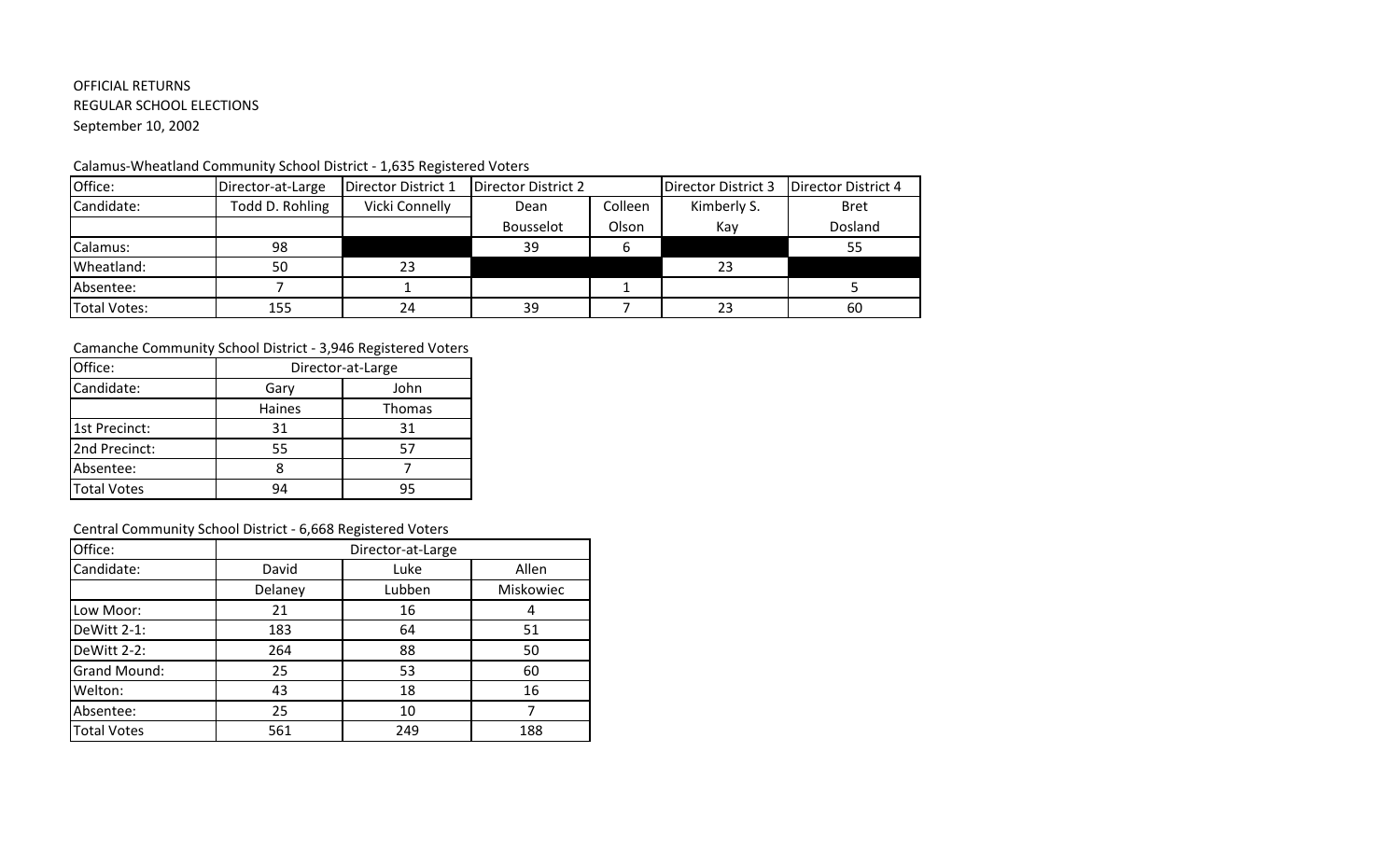## OFFICIAL RETURNS REGULAR SCHOOL ELECTIONS September 10, 2002

### Calamus-Wheatland Community School District - 1,635 Registered Voters

| Office:             | Director-at-Large | Director District 1 | Director District 2 |         | Director District 3 | Director District 4 |
|---------------------|-------------------|---------------------|---------------------|---------|---------------------|---------------------|
| Candidate:          | Todd D. Rohling   | Vicki Connelly      | Dean                | Colleen | Kimberly S.         | Bret                |
|                     |                   |                     | <b>Bousselot</b>    | Olson   | Kay                 | Dosland             |
| Calamus:            | 98                |                     | 39                  |         |                     | 55                  |
| Wheatland:          | 50                | 23                  |                     |         | 23                  |                     |
| Absentee:           |                   |                     |                     |         |                     |                     |
| <b>Total Votes:</b> | 155               | 24                  | 39                  |         | 23                  | 60                  |

### Camanche Community School District - 3,946 Registered Voters

| Office:            | Director-at-Large |               |
|--------------------|-------------------|---------------|
| Candidate:         | Gary              | John          |
|                    | Haines            | <b>Thomas</b> |
| 1st Precinct:      | 31                | 31            |
| 2nd Precinct:      | 55                |               |
| Absentee:          |                   |               |
| <b>Total Votes</b> | 94                | 95            |

### Central Community School District - 6,668 Registered Voters

| Office:             | Director-at-Large |        |           |
|---------------------|-------------------|--------|-----------|
| Candidate:          | David             | Luke   | Allen     |
|                     | Delaney           | Lubben | Miskowiec |
| Low Moor:           | 21                | 16     | 4         |
| DeWitt 2-1:         | 183               | 64     | 51        |
| DeWitt 2-2:         | 264               | 88     | 50        |
| <b>Grand Mound:</b> | 25                | 53     | 60        |
| Welton:             | 43                | 18     | 16        |
| Absentee:           | 25                | 10     |           |
| <b>Total Votes</b>  | 561               | 249    | 188       |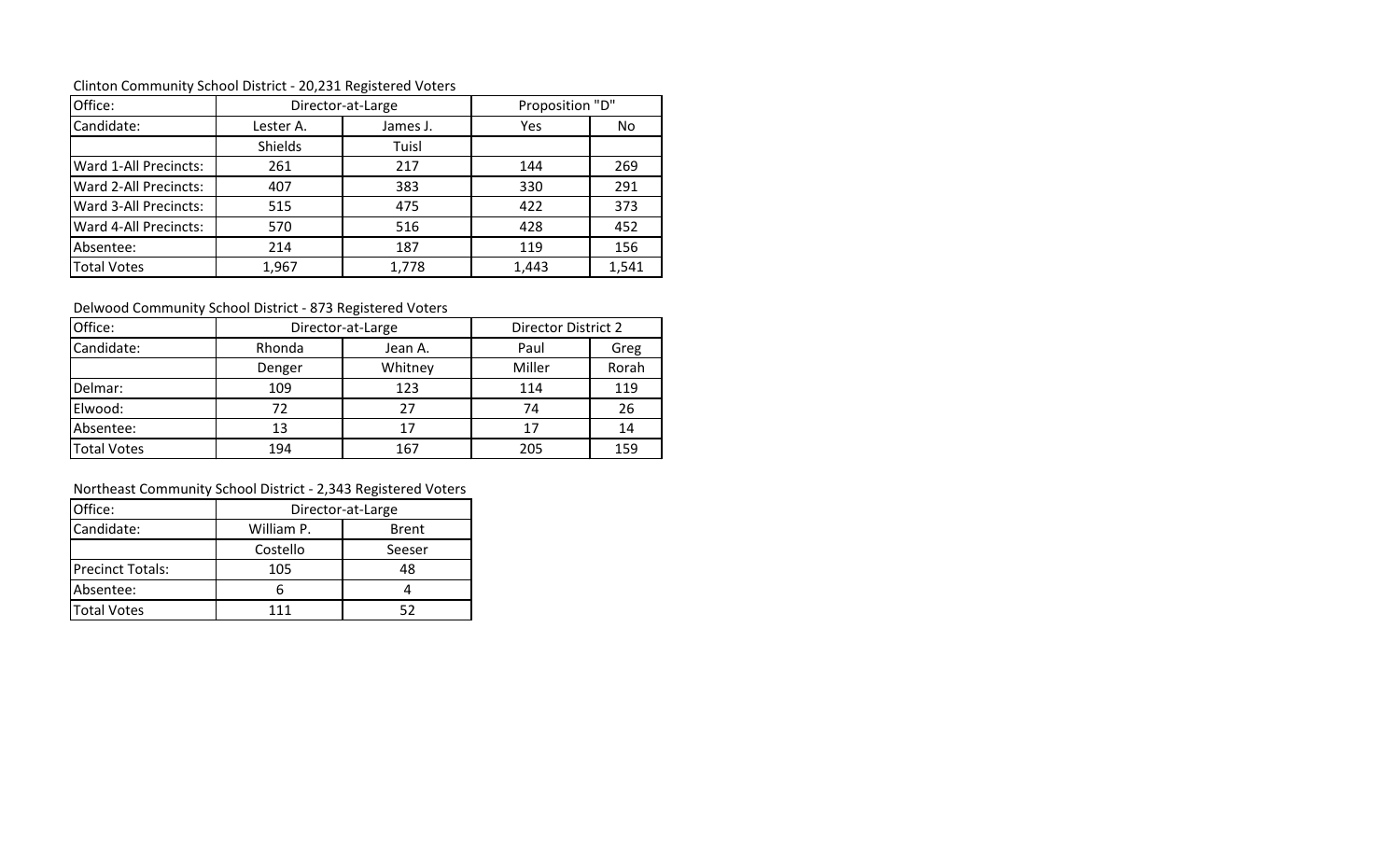| Office:               | Director-at-Large |          | Proposition "D" |       |
|-----------------------|-------------------|----------|-----------------|-------|
| Candidate:            | Lester A.         | James J. | Yes             | No.   |
|                       | Shields           | Tuisl    |                 |       |
| Ward 1-All Precincts: | 261               | 217      | 144             | 269   |
| Ward 2-All Precincts: | 407               | 383      | 330             | 291   |
| Ward 3-All Precincts: | 515               | 475      | 422             | 373   |
| Ward 4-All Precincts: | 570               | 516      | 428             | 452   |
| Absentee:             | 214               | 187      | 119             | 156   |
| <b>Total Votes</b>    | 1,967             | 1,778    | 1,443           | 1,541 |

Clinton Community School District - 20,231 Registered Voters

Delwood Community School District - 873 Registered Voters

| Office:            | Director-at-Large |         | Director District 2 |       |
|--------------------|-------------------|---------|---------------------|-------|
| Candidate:         | Rhonda            | Jean A. | Paul                | Greg  |
|                    | Denger            | Whitney | Miller              | Rorah |
| Delmar:            | 109               | 123     | 114                 | 119   |
| Elwood:            | 72                | 27      | 74                  | 26    |
| Absentee:          | 13                | 17      | 17                  | 14    |
| <b>Total Votes</b> | 194               | 167     | 205                 | 159   |

# Northeast Community School District - 2,343 Registered Voters

| Office:                 | Director-at-Large          |        |  |
|-------------------------|----------------------------|--------|--|
| Candidate:              | William P.<br><b>Brent</b> |        |  |
|                         | Costello                   | Seeser |  |
| <b>Precinct Totals:</b> | 105                        | 48     |  |
| Absentee:               |                            |        |  |
| <b>Total Votes</b>      | 111                        |        |  |